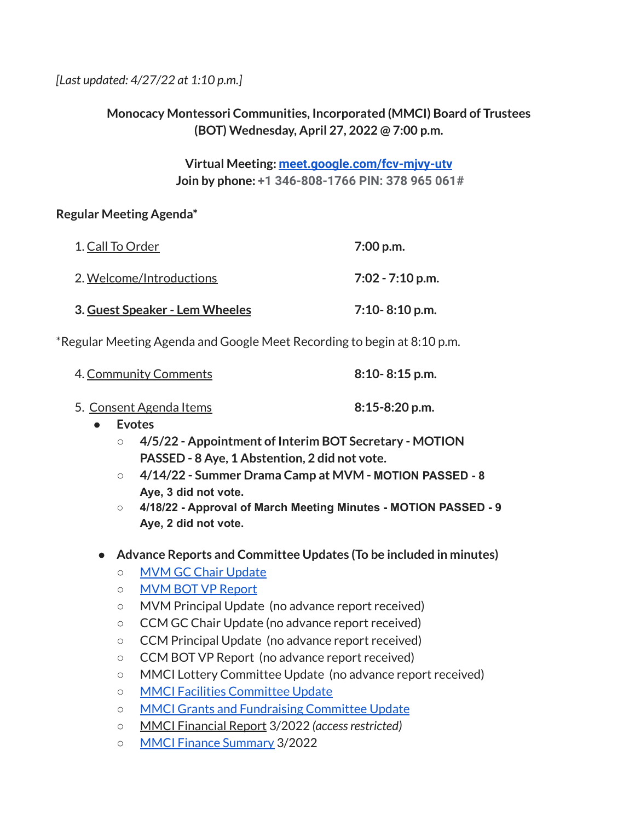*[Last updated: 4/27/22 at 1:10 p.m.]*

## **Monocacy Montessori Communities, Incorporated (MMCI) Board of Trustees (BOT) Wednesday, April 27, 2022 @ 7:00 p.m.**

**Virtual Meeting: [meet.google.com/fcv-mjvy-utv](http://meet.google.com/fcv-mjvy-utv) Join by phone: +1 346-808-1766 PIN: 378 965 061#**

### **Regular Meeting Agenda\***

| 1. Call To Order                | 7:00 p.m.          |
|---------------------------------|--------------------|
| <u>2. Welcome/Introductions</u> | $7:02 - 7:10$ p.m. |
| 3. Guest Speaker - Lem Wheeles  | $7:10 - 8:10$ p.m. |

\*Regular Meeting Agenda and Google Meet Recording to begin at 8:10 p.m.

| 4. Community Comments | $8:10 - 8:15$ p.m. |
|-----------------------|--------------------|
|                       |                    |

| 5. Consent Agenda Items | $8:15-8:20$ p.m. |
|-------------------------|------------------|
|-------------------------|------------------|

- **● Evotes**
	- **○ 4/5/22 - Appointment of Interim BOT Secretary - MOTION PASSED - 8 Aye, 1 Abstention, 2 did not vote.**
	- **○ 4/14/22 - Summer Drama Camp at MVM - MOTION PASSED - 8 Aye, 3 did not vote.**
	- **○ 4/18/22 - Approval of March Meeting Minutes - MOTION PASSED - 9 Aye, 2 did not vote.**

## **● Advance Reports and Committee Updates (To be included in minutes)**

- MVM GC Chair [Update](https://docs.google.com/document/d/1FkjRuG7cqi4RPgyD7JJ_UzEDzqveepjTmFkEibd3wZY/edit?usp=sharing)
- MVM BOT VP [Report](https://docs.google.com/document/d/1HgyiwE14UmdQTP3GqUynus62Vw5uKR8UrTknZaLPMPk/edit?usp=sharing)
- MVM Principal Update (no advance report received)
- CCM GC Chair Update (no advance report received)
- CCM Principal Update (no advance report received)
- CCM BOT VP Report (no advance report received)
- MMCI Lottery Committee Update (no advance report received)
- MMCI Facilities [Committee](https://docs.google.com/document/d/1otC3krHmC9kOUzeMjnDJrWqSGlrSYdRYeEckT1e_0iw/edit?usp=sharing) Update
- MMCI Grants and [Fundraising](https://docs.google.com/document/d/1W_RNHbLBjJol7zRtacppZTKC9ifCQERIiPnko-IPHks/edit?usp=sharing) Committee Update
- MMCI Financial Report 3/2022 *(accessrestricted)*
- MMCI Finance [Summary](https://docs.google.com/document/d/16_KEzIEThcBohM48PAhaOWBqwsXmxdFp/edit?usp=sharing&ouid=112286663168399488725&rtpof=true&sd=true) 3/2022